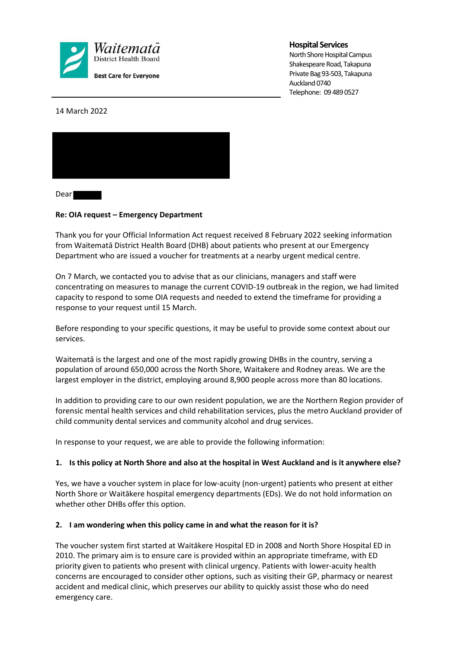

### **Hospital Services**

North Shore Hospital Campus Shakespeare Road, Takapuna Private Bag 93-503, Takapuna Auckland 0740 Telephone: 09 489 0527

14 March 2022



Dear **The Dear** 

## **Re: OIA request – Emergency Department**

Thank you for your Official Information Act request received 8 February 2022 seeking information from Waitematā District Health Board (DHB) about patients who present at our Emergency Department who are issued a voucher for treatments at a nearby urgent medical centre.

On 7 March, we contacted you to advise that as our clinicians, managers and staff were concentrating on measures to manage the current COVID-19 outbreak in the region, we had limited capacity to respond to some OIA requests and needed to extend the timeframe for providing a response to your request until 15 March.

Before responding to your specific questions, it may be useful to provide some context about our services.

Waitematā is the largest and one of the most rapidly growing DHBs in the country, serving a population of around 650,000 across the North Shore, Waitakere and Rodney areas. We are the largest employer in the district, employing around 8,900 people across more than 80 locations.

In addition to providing care to our own resident population, we are the Northern Region provider of forensic mental health services and child rehabilitation services, plus the metro Auckland provider of child community dental services and community alcohol and drug services.

In response to your request, we are able to provide the following information:

### **1. Is this policy at North Shore and also at the hospital in West Auckland and is it anywhere else?**

Yes, we have a voucher system in place for low-acuity (non-urgent) patients who present at either North Shore or Waitākere hospital emergency departments (EDs). We do not hold information on whether other DHBs offer this option.

### **2. I am wondering when this policy came in and what the reason for it is?**

The voucher system first started at Waitākere Hospital ED in 2008 and North Shore Hospital ED in 2010. The primary aim is to ensure care is provided within an appropriate timeframe, with ED priority given to patients who present with clinical urgency. Patients with lower-acuity health concerns are encouraged to consider other options, such as visiting their GP, pharmacy or nearest accident and medical clinic, which preserves our ability to quickly assist those who do need emergency care.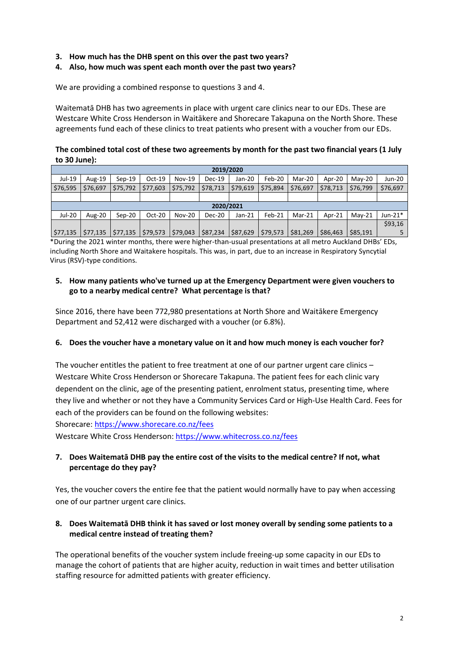- **3. How much has the DHB spent on this over the past two years?**
- **4. Also, how much was spent each month over the past two years?**

We are providing a combined response to questions 3 and 4.

Waitematā DHB has two agreements in place with urgent care clinics near to our EDs. These are Westcare White Cross Henderson in Waitākere and Shorecare Takapuna on the North Shore. These agreements fund each of these clinics to treat patients who present with a voucher from our EDs.

**The combined total cost of these two agreements by month for the past two financial years (1 July to 30 June):** 

| 2019/2020 |           |          |          |               |               |          |          |          |          |          |            |
|-----------|-----------|----------|----------|---------------|---------------|----------|----------|----------|----------|----------|------------|
| Jul-19    | Aug- $19$ | $Sen-19$ | $Oct-19$ | Nov-19        | <b>Dec-19</b> | Jan-20   | Feb-20   | Mar-20   | Apr-20   | $Mav-20$ | Jun-20     |
| \$76,595  | \$76,697  | \$75,792 | \$77,603 | \$75,792      | \$78,713      | \$79.619 | \$75,894 | \$76,697 | \$78,713 | \$76,799 | \$76,697   |
|           |           |          |          |               |               |          |          |          |          |          |            |
| 2020/2021 |           |          |          |               |               |          |          |          |          |          |            |
| Jul-20    | Aug-20    | $Sep-20$ | $Oct-20$ | <b>Nov-20</b> | <b>Dec-20</b> | $Jan-21$ | Feb-21   | Mar-21   | Apr-21   | $Mav-21$ | Jun-21 $*$ |
|           |           |          |          |               |               |          |          |          |          |          |            |
|           |           |          |          |               |               |          |          |          |          |          | \$93,16    |

\*During the 2021 winter months, there were higher-than-usual presentations at all metro Auckland DHBs' EDs, including North Shore and Waitakere hospitals. This was, in part, due to an increase in Respiratory Syncytial Virus (RSV)-type conditions.

## **5. How many patients who've turned up at the Emergency Department were given vouchers to go to a nearby medical centre? What percentage is that?**

Since 2016, there have been 772,980 presentations at North Shore and Waitākere Emergency Department and 52,412 were discharged with a voucher (or 6.8%).

### **6. Does the voucher have a monetary value on it and how much money is each voucher for?**

The voucher entitles the patient to free treatment at one of our partner urgent care clinics – Westcare White Cross Henderson or Shorecare Takapuna. The patient fees for each clinic vary dependent on the clinic, age of the presenting patient, enrolment status, presenting time, where they live and whether or not they have a Community Services Card or High-Use Health Card. Fees for each of the providers can be found on the following websites:

Shorecare: https://www.shorecare.co.nz/fees

Westcare White Cross Henderson: https://www.whitecross.co.nz/fees

# **7. Does Waitematā DHB pay the entire cost of the visits to the medical centre? If not, what percentage do they pay?**

Yes, the voucher covers the entire fee that the patient would normally have to pay when accessing one of our partner urgent care clinics.

# **8. Does Waitematā DHB think it has saved or lost money overall by sending some patients to a medical centre instead of treating them?**

The operational benefits of the voucher system include freeing-up some capacity in our EDs to manage the cohort of patients that are higher acuity, reduction in wait times and better utilisation staffing resource for admitted patients with greater efficiency.